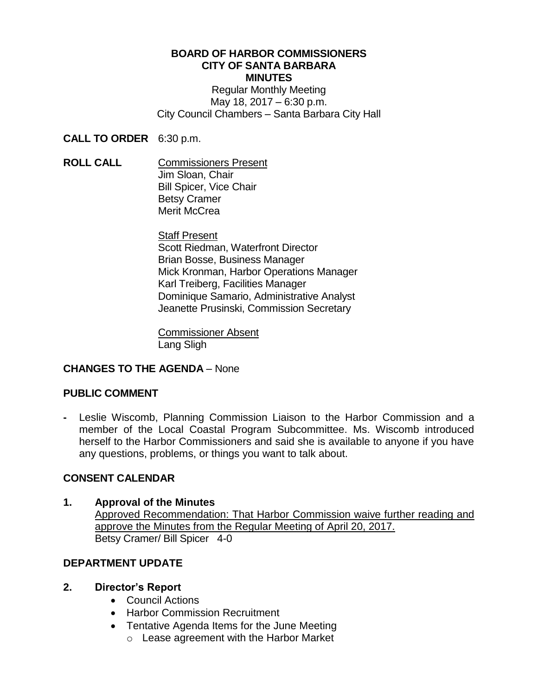#### **BOARD OF HARBOR COMMISSIONERS CITY OF SANTA BARBARA MINUTES**

Regular Monthly Meeting May 18, 2017 – 6:30 p.m. City Council Chambers – Santa Barbara City Hall

**CALL TO ORDER** 6:30 p.m.

**ROLL CALL** Commissioners Present Jim Sloan, Chair Bill Spicer, Vice Chair Betsy Cramer Merit McCrea

> Staff Present Scott Riedman, Waterfront Director Brian Bosse, Business Manager Mick Kronman, Harbor Operations Manager Karl Treiberg, Facilities Manager Dominique Samario, Administrative Analyst Jeanette Prusinski, Commission Secretary

Commissioner Absent Lang Sligh

# **CHANGES TO THE AGENDA** – None

## **PUBLIC COMMENT**

**-** Leslie Wiscomb, Planning Commission Liaison to the Harbor Commission and a member of the Local Coastal Program Subcommittee. Ms. Wiscomb introduced herself to the Harbor Commissioners and said she is available to anyone if you have any questions, problems, or things you want to talk about.

## **CONSENT CALENDAR**

## **1. Approval of the Minutes**

Approved Recommendation: That Harbor Commission waive further reading and approve the Minutes from the Regular Meeting of April 20, 2017. Betsy Cramer/ Bill Spicer 4-0

# **DEPARTMENT UPDATE**

## **2. Director's Report**

- Council Actions
- Harbor Commission Recruitment
- Tentative Agenda Items for the June Meeting
	- o Lease agreement with the Harbor Market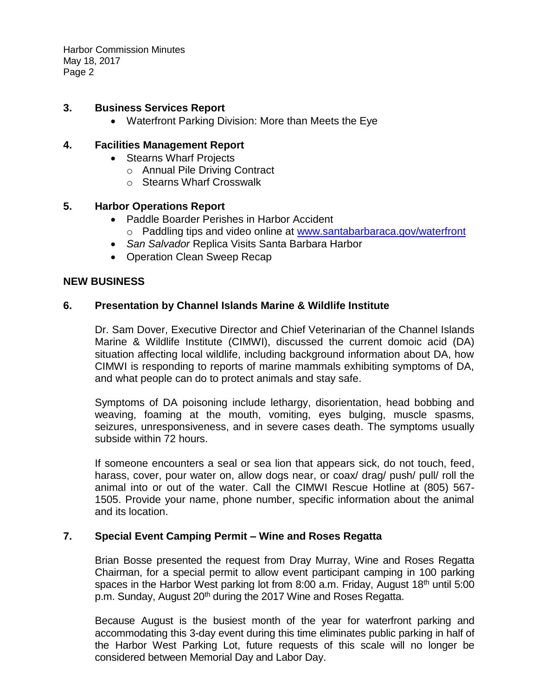Harbor Commission Minutes May 18, 2017 Page 2

### **3. Business Services Report**

Waterfront Parking Division: More than Meets the Eye

### **4. Facilities Management Report**

- Stearns Wharf Projects
	- o Annual Pile Driving Contract
	- o Stearns Wharf Crosswalk

### **5. Harbor Operations Report**

- Paddle Boarder Perishes in Harbor Accident o Paddling tips and video online at [www.santabarbaraca.gov/waterfront](http://www.santabarbaraca.gov/waterfront)
- *San Salvador* Replica Visits Santa Barbara Harbor
- Operation Clean Sweep Recap

### **NEW BUSINESS**

### **6. Presentation by Channel Islands Marine & Wildlife Institute**

Dr. Sam Dover, Executive Director and Chief Veterinarian of the Channel Islands Marine & Wildlife Institute (CIMWI), discussed the current domoic acid (DA) situation affecting local wildlife, including background information about DA, how CIMWI is responding to reports of marine mammals exhibiting symptoms of DA, and what people can do to protect animals and stay safe.

Symptoms of DA poisoning include lethargy, disorientation, head bobbing and weaving, foaming at the mouth, vomiting, eyes bulging, muscle spasms, seizures, unresponsiveness, and in severe cases death. The symptoms usually subside within 72 hours.

If someone encounters a seal or sea lion that appears sick, do not touch, feed, harass, cover, pour water on, allow dogs near, or coax/ drag/ push/ pull/ roll the animal into or out of the water. Call the CIMWI Rescue Hotline at (805) 567- 1505. Provide your name, phone number, specific information about the animal and its location.

#### **7. Special Event Camping Permit – Wine and Roses Regatta**

Brian Bosse presented the request from Dray Murray, Wine and Roses Regatta Chairman, for a special permit to allow event participant camping in 100 parking spaces in the Harbor West parking lot from 8:00 a.m. Friday, August 18<sup>th</sup> until 5:00 p.m. Sunday, August 20<sup>th</sup> during the 2017 Wine and Roses Regatta.

Because August is the busiest month of the year for waterfront parking and accommodating this 3-day event during this time eliminates public parking in half of the Harbor West Parking Lot, future requests of this scale will no longer be considered between Memorial Day and Labor Day.